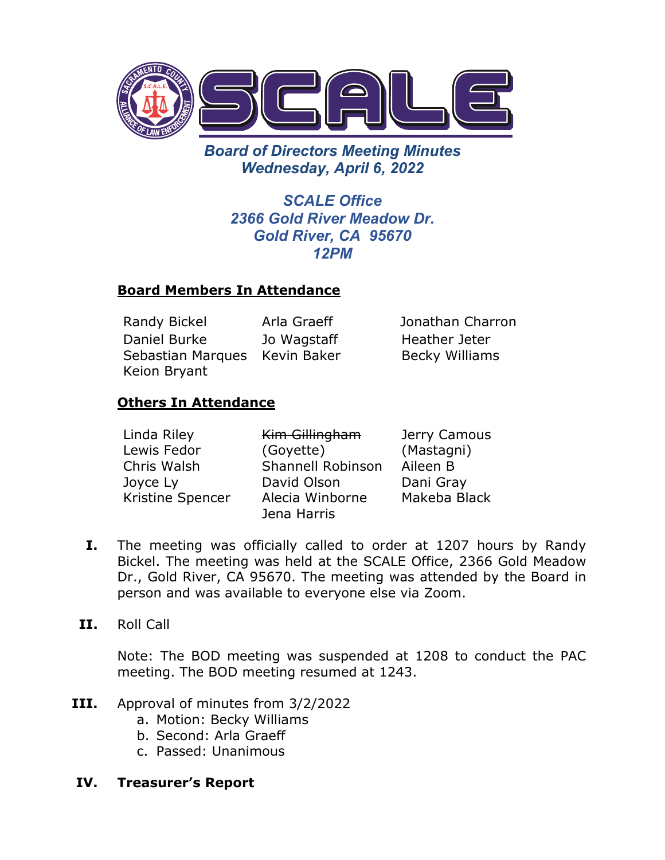

*Board of Directors Meeting Minutes Wednesday, April 6, 2022* 

> *SCALE Office 2366 Gold River Meadow Dr. Gold River, CA 95670 12PM*

## **Board Members In Attendance**

Randy Bickel Arla Graeff Jonathan Charron Daniel Burke Sebastian Marques Kevin Baker Keion Bryant Jo Wagstaff

Heather Jeter Becky Williams

# **Others In Attendance**

| Linda Riley      | Kim Gillingham    | Jerry Camous |
|------------------|-------------------|--------------|
| Lewis Fedor      | (Goyette)         | (Mastagni)   |
| Chris Walsh      | Shannell Robinson | Aileen B     |
| Joyce Ly         | David Olson       | Dani Gray    |
| Kristine Spencer | Alecia Winborne   | Makeba Black |
|                  | Jena Harris       |              |

- **I.** The meeting was officially called to order at 1207 hours by Randy Bickel. The meeting was held at the SCALE Office, 2366 Gold Meadow Dr., Gold River, CA 95670. The meeting was attended by the Board in person and was available to everyone else via Zoom.
- **II.** Roll Call

Note: The BOD meeting was suspended at 1208 to conduct the PAC meeting. The BOD meeting resumed at 1243.

- **III.** Approval of minutes from 3/2/2022
	- a. Motion: Becky Williams
	- b. Second: Arla Graeff
	- c. Passed: Unanimous

### **IV. Treasurer's Report**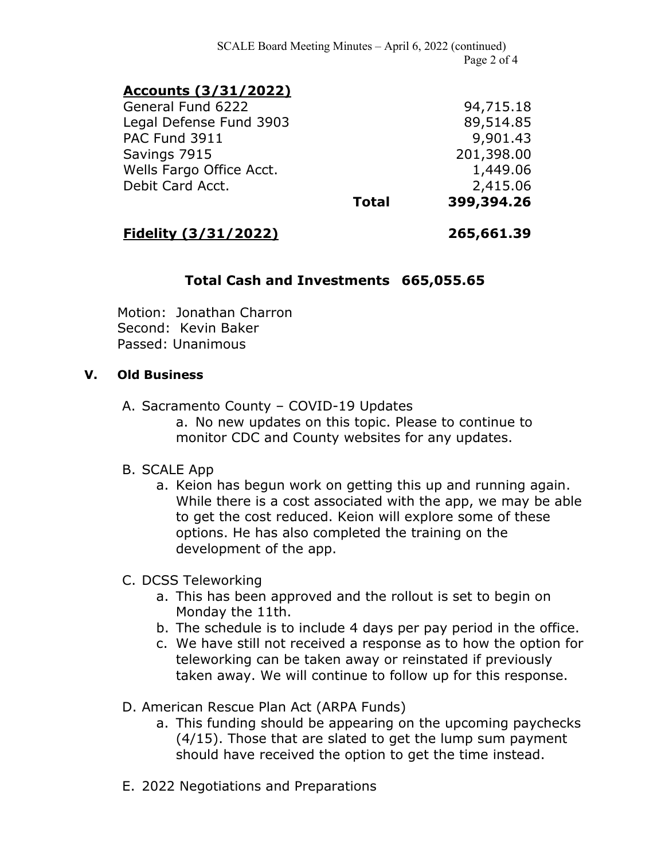SCALE Board Meeting Minutes – April 6, 2022 (continued) Page 2 of 4

## **Accounts (3/31/2022)**

General Fund 6222 94,715.18 Legal Defense Fund 3903 89,514.85 PAC Fund 3911 9,901.43 Savings 7915 201,398.00 Wells Fargo Office Acct. 1,449.06 Debit Card Acct. 2,415.06 **Total 399,394.26**

### **Fidelity (3/31/2022) 265,661.39**

### **Total Cash and Investments 665,055.65**

Motion: Jonathan Charron Second: Kevin Baker Passed: Unanimous

#### **V. Old Business**

A. Sacramento County – COVID-19 Updates

a. No new updates on this topic. Please to continue to monitor CDC and County websites for any updates.

#### B. SCALE App

a. Keion has begun work on getting this up and running again. While there is a cost associated with the app, we may be able to get the cost reduced. Keion will explore some of these options. He has also completed the training on the development of the app.

#### C. DCSS Teleworking

- a. This has been approved and the rollout is set to begin on Monday the 11th.
- b. The schedule is to include 4 days per pay period in the office.
- c. We have still not received a response as to how the option for teleworking can be taken away or reinstated if previously taken away. We will continue to follow up for this response.
- D. American Rescue Plan Act (ARPA Funds)
	- a. This funding should be appearing on the upcoming paychecks (4/15). Those that are slated to get the lump sum payment should have received the option to get the time instead.
- E. 2022 Negotiations and Preparations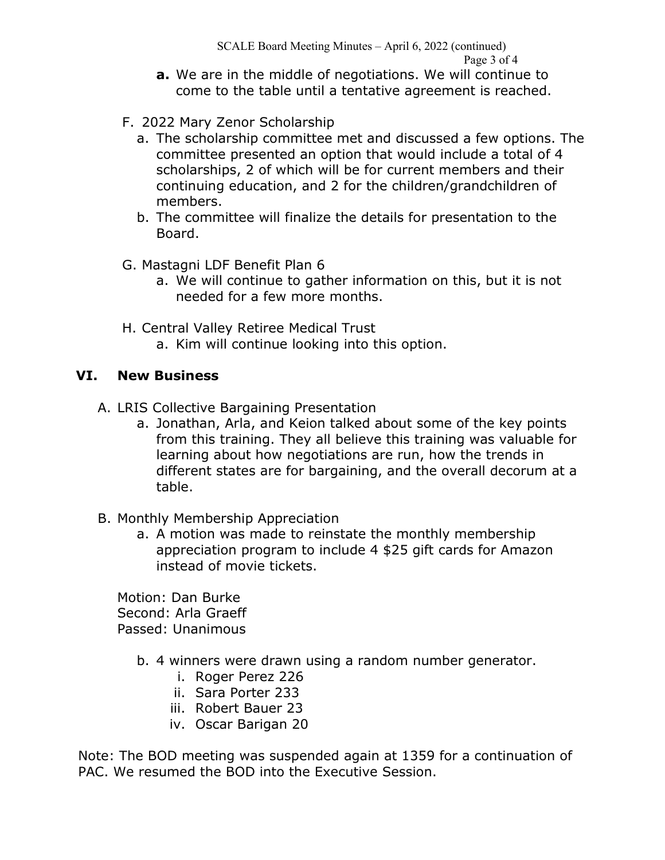- **a.** We are in the middle of negotiations. We will continue to come to the table until a tentative agreement is reached.
- F. 2022 Mary Zenor Scholarship
	- a. The scholarship committee met and discussed a few options. The committee presented an option that would include a total of 4 scholarships, 2 of which will be for current members and their continuing education, and 2 for the children/grandchildren of members.
	- b. The committee will finalize the details for presentation to the Board.
- G. Mastagni LDF Benefit Plan 6
	- a. We will continue to gather information on this, but it is not needed for a few more months.
- H. Central Valley Retiree Medical Trust a. Kim will continue looking into this option.

# **VI. New Business**

- A. LRIS Collective Bargaining Presentation
	- a. Jonathan, Arla, and Keion talked about some of the key points from this training. They all believe this training was valuable for learning about how negotiations are run, how the trends in different states are for bargaining, and the overall decorum at a table.
- B. Monthly Membership Appreciation
	- a. A motion was made to reinstate the monthly membership appreciation program to include 4 \$25 gift cards for Amazon instead of movie tickets.

Motion: Dan Burke Second: Arla Graeff Passed: Unanimous

- b. 4 winners were drawn using a random number generator.
	- i. Roger Perez 226
	- ii. Sara Porter 233
	- iii. Robert Bauer 23
	- iv. Oscar Barigan 20

Note: The BOD meeting was suspended again at 1359 for a continuation of PAC. We resumed the BOD into the Executive Session.